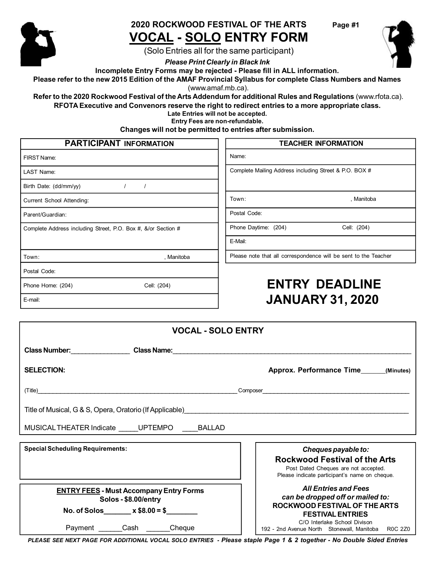

## **2020 ROCKWOOD FESTIVAL OF THE ARTS VOCAL - SOLO ENTRY FORM**

**Page #1**

(Solo Entries all for the same participant)

*Please Print Clearly in Black Ink*

**Incomplete Entry Forms may be rejected - Please fill in ALL information.**

Please refer to the new 2015 Edition of the AMAF Provincial Syllabus for complete Class Numbers and Names (www.amaf.mb.ca).

**Refer to the 2020 Rockwood Festival of the Arts Addendum for additional Rules and Regulations** (www.rfota.ca).

**RFOTA Executive and Convenors reserve the right to redirect entries to a more appropriate class.**

**Late Entries will not be accepted. Entry Fees are non-refundable.**

**Changes will not be permitted to entries after submission.**

#### FIRST Name: LAST Name: Birth Date: (dd/mm/yy)  $1$  / **PARTICIPANT INFORMATION TEACHER INFORMATION** Name: Complete Mailing Address including Street & P.O. BOX #

Current School Attending:

Parent/Guardian:

Complete Address including Street, P.O. Box #, &/or Section #

Town: , Manitoba

Postal Code:

Phone Home: (204) Cell: (204)

E-mail:

# **ENTRY DEADLINE JANUARY 31, 2020**

| <b>VOCAL - SOLO ENTRY</b>                                                                                                   |                                                                                                                                                                                                                   |  |
|-----------------------------------------------------------------------------------------------------------------------------|-------------------------------------------------------------------------------------------------------------------------------------------------------------------------------------------------------------------|--|
|                                                                                                                             |                                                                                                                                                                                                                   |  |
| <b>SELECTION:</b>                                                                                                           | Approx. Performance Time (Minutes)                                                                                                                                                                                |  |
|                                                                                                                             |                                                                                                                                                                                                                   |  |
|                                                                                                                             |                                                                                                                                                                                                                   |  |
| MUSICAL THEATER Indicate _____UPTEMPO _____BALLAD                                                                           |                                                                                                                                                                                                                   |  |
| <b>Special Scheduling Requirements:</b>                                                                                     | Cheques payable to:<br><b>Rockwood Festival of the Arts</b><br>Post Dated Cheques are not accepted.<br>Please indicate participant's name on cheque.                                                              |  |
| <b>ENTRY FEES - Must Accompany Entry Forms</b><br>Solos - \$8.00/entry<br>No. of Solos x $$8.00 = $$<br>Payment Cash Cheque | <b>All Entries and Fees</b><br>can be dropped off or mailed to:<br>ROCKWOOD FESTIVAL OF THE ARTS<br><b>FESTIVAL ENTRIES</b><br>C/O Interlake School Divison<br>192 - 2nd Avenue North Stonewall, Manitoba R0C 2Z0 |  |

*PLEASE SEE NEXT PAGE FOR ADDITIONAL VOCAL SOLO ENTRIES - Please staple Page 1 & 2 together - No Double Sided Entries*



Postal Code:

Phone Daytime: (204) Cell: (204)

E-Mail:

Please note that all correspondence will be sent to the Teacher

Town: **Town: Town: Town: Town: Town: Town: Town: Town: Town: Town: Town: Town: Town: Town: Town: Town: Town: Town: Town: Town: Town: Town: Town: Town: Town: Town: Town:**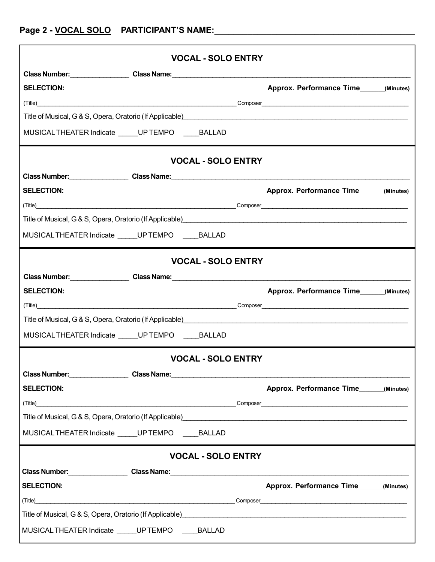|                                                                                                                                                                           |  | <b>VOCAL - SOLO ENTRY</b> |  |                                                                                                                                                                           |  |
|---------------------------------------------------------------------------------------------------------------------------------------------------------------------------|--|---------------------------|--|---------------------------------------------------------------------------------------------------------------------------------------------------------------------------|--|
|                                                                                                                                                                           |  |                           |  |                                                                                                                                                                           |  |
| <b>SELECTION:</b>                                                                                                                                                         |  |                           |  | Approx. Performance Time______(Minutes)                                                                                                                                   |  |
|                                                                                                                                                                           |  |                           |  |                                                                                                                                                                           |  |
| Title of Musical, G & S, Opera, Oratorio (If Applicable) [2010] [2010] [2010] [2010] [2010] [2010] [2010] [2010                                                           |  |                           |  |                                                                                                                                                                           |  |
| MUSICAL THEATER Indicate _____ UP TEMPO _____ BALLAD                                                                                                                      |  |                           |  |                                                                                                                                                                           |  |
|                                                                                                                                                                           |  | <b>VOCAL - SOLO ENTRY</b> |  |                                                                                                                                                                           |  |
|                                                                                                                                                                           |  |                           |  |                                                                                                                                                                           |  |
| <b>SELECTION:</b>                                                                                                                                                         |  |                           |  | Approx. Performance Time______(Minutes)                                                                                                                                   |  |
|                                                                                                                                                                           |  |                           |  |                                                                                                                                                                           |  |
| Title of Musical, G & S, Opera, Oratorio (If Applicable)<br>2020 - 2020 - 2020 - 2020 - 2020 - 2020 - 2020 - 2020 - 2021 - 2021 - 2021 - 2021 - 2021 - 2021 - 2021 - 2021 |  |                           |  |                                                                                                                                                                           |  |
| MUSICALTHEATER Indicate _____UPTEMPO ___ BALLAD                                                                                                                           |  |                           |  |                                                                                                                                                                           |  |
|                                                                                                                                                                           |  | <b>VOCAL - SOLO ENTRY</b> |  |                                                                                                                                                                           |  |
|                                                                                                                                                                           |  |                           |  |                                                                                                                                                                           |  |
| <b>SELECTION:</b>                                                                                                                                                         |  |                           |  | Approx. Performance Time______(Minutes)                                                                                                                                   |  |
| (Title)                                                                                                                                                                   |  |                           |  |                                                                                                                                                                           |  |
|                                                                                                                                                                           |  |                           |  | Title of Musical, G & S, Opera, Oratorio (If Applicable)<br>2020 - 2020 - 2020 - 2020 - 2020 - 2020 - 2020 - 2020 - 2020 - 2020 - 2020 - 2020 - 2020 - 2020 - 2020 - 2020 |  |
| MUSICAL THEATER Indicate UP TEMPO BALLAD                                                                                                                                  |  |                           |  |                                                                                                                                                                           |  |
|                                                                                                                                                                           |  | <b>VOCAL - SOLO ENTRY</b> |  |                                                                                                                                                                           |  |
|                                                                                                                                                                           |  |                           |  |                                                                                                                                                                           |  |
| <b>SELECTION:</b>                                                                                                                                                         |  |                           |  | Approx. Performance Time (Minutes)                                                                                                                                        |  |
|                                                                                                                                                                           |  |                           |  |                                                                                                                                                                           |  |
|                                                                                                                                                                           |  |                           |  | Title of Musical, G & S, Opera, Oratorio (If Applicable)<br>2022 - 2022 - 2022 - 2022 - 2022 - 2022 - 2022 - 2022 - 2023 - 2024 - 2024 - 2024 - 2022 - 2023 - 2024 - 2022 |  |
| MUSICAL THEATER Indicate _____ UP TEMPO _____ BALLAD                                                                                                                      |  |                           |  |                                                                                                                                                                           |  |
| <b>VOCAL - SOLO ENTRY</b>                                                                                                                                                 |  |                           |  |                                                                                                                                                                           |  |
|                                                                                                                                                                           |  |                           |  |                                                                                                                                                                           |  |
| <b>SELECTION:</b>                                                                                                                                                         |  |                           |  | Approx. Performance Time______(Minutes)                                                                                                                                   |  |
|                                                                                                                                                                           |  |                           |  | (Title) Composer Composer Composer Composer Composer Composer Composer Composer Composer Composer Composer Composer                                                       |  |
|                                                                                                                                                                           |  |                           |  | Title of Musical, G & S, Opera, Oratorio (If Applicable) <b>Contained a Control of Musical Activities</b> Control of A                                                    |  |
| MUSICAL THEATER Indicate _____ UP TEMPO _____ BALLAD                                                                                                                      |  |                           |  |                                                                                                                                                                           |  |